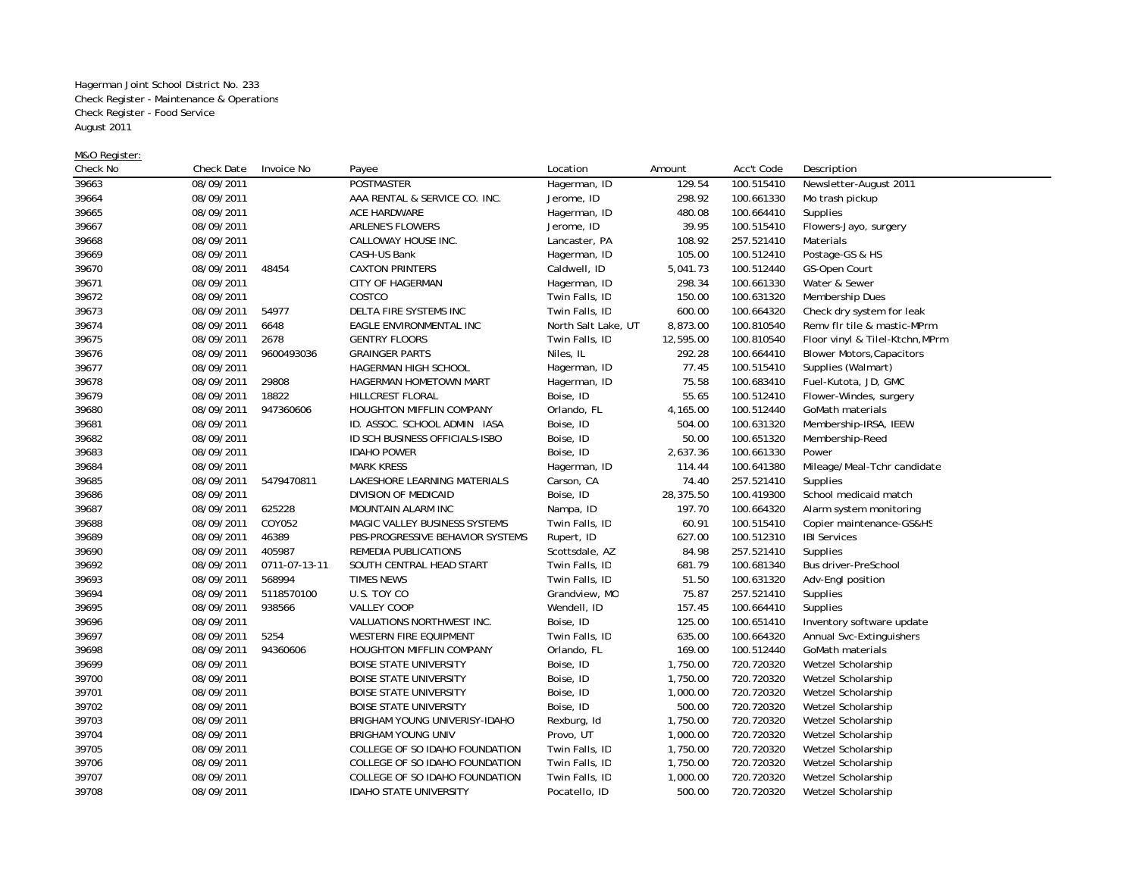Hagerman Joint School District No. 233 Check Register - Maintenance & Operations Check Register - Food Service August 2011

M&O Register:

| Check No | Check Date | Invoice No    | Payee                            | Location            | Amount    | Acc't Code | Description                      |
|----------|------------|---------------|----------------------------------|---------------------|-----------|------------|----------------------------------|
| 39663    | 08/09/2011 |               | POSTMASTER                       | Hagerman, ID        | 129.54    | 100.515410 | Newsletter-August 2011           |
| 39664    | 08/09/2011 |               | AAA RENTAL & SERVICE CO. INC.    | Jerome, ID          | 298.92    | 100.661330 | Mo trash pickup                  |
| 39665    | 08/09/2011 |               | ACE HARDWARE                     | Hagerman, ID        | 480.08    | 100.664410 | Supplies                         |
| 39667    | 08/09/2011 |               | <b>ARLENE'S FLOWERS</b>          | Jerome, ID          | 39.95     | 100.515410 | Flowers-Jayo, surgery            |
| 39668    | 08/09/2011 |               | CALLOWAY HOUSE INC.              | Lancaster, PA       | 108.92    | 257.521410 | Materials                        |
| 39669    | 08/09/2011 |               | CASH-US Bank                     | Hagerman, ID        | 105.00    | 100.512410 | Postage-GS & HS                  |
| 39670    | 08/09/2011 | 48454         | <b>CAXTON PRINTERS</b>           | Caldwell, ID        | 5,041.73  | 100.512440 | GS-Open Court                    |
| 39671    | 08/09/2011 |               | CITY OF HAGERMAN                 | Hagerman, ID        | 298.34    | 100.661330 | Water & Sewer                    |
| 39672    | 08/09/2011 |               | COSTCO                           | Twin Falls, ID      | 150.00    | 100.631320 | Membership Dues                  |
| 39673    | 08/09/2011 | 54977         | DELTA FIRE SYSTEMS INC           | Twin Falls, ID      | 600.00    | 100.664320 | Check dry system for leak        |
| 39674    | 08/09/2011 | 6648          | EAGLE ENVIRONMENTAL INC          | North Salt Lake, UT | 8,873.00  | 100.810540 | Remv fir tile & mastic-MPrm      |
| 39675    | 08/09/2011 | 2678          | <b>GENTRY FLOORS</b>             | Twin Falls, ID      | 12,595.00 | 100.810540 | Floor vinyl & Tilel-Ktchn, MPrm  |
| 39676    | 08/09/2011 | 9600493036    | <b>GRAINGER PARTS</b>            | Niles, IL           | 292.28    | 100.664410 | <b>Blower Motors, Capacitors</b> |
| 39677    | 08/09/2011 |               | HAGERMAN HIGH SCHOOL             | Hagerman, ID        | 77.45     | 100.515410 | Supplies (Walmart)               |
| 39678    | 08/09/2011 | 29808         | HAGERMAN HOMETOWN MART           | Hagerman, ID        | 75.58     | 100.683410 | Fuel-Kutota, JD, GMC             |
| 39679    | 08/09/2011 | 18822         | HILLCREST FLORAL                 | Boise, ID           | 55.65     | 100.512410 | Flower-Windes, surgery           |
| 39680    | 08/09/2011 | 947360606     | HOUGHTON MIFFLIN COMPANY         | Orlando, FL         | 4,165.00  | 100.512440 | GoMath materials                 |
| 39681    | 08/09/2011 |               | ID. ASSOC. SCHOOL ADMIN IASA     | Boise, ID           | 504.00    | 100.631320 | Membership-IRSA, IEEW            |
| 39682    | 08/09/2011 |               | ID SCH BUSINESS OFFICIALS-ISBO   | Boise, ID           | 50.00     | 100.651320 | Membership-Reed                  |
| 39683    | 08/09/2011 |               | <b>IDAHO POWER</b>               | Boise, ID           | 2,637.36  | 100.661330 | Power                            |
| 39684    | 08/09/2011 |               | <b>MARK KRESS</b>                | Hagerman, ID        | 114.44    | 100.641380 | Mileage/Meal-Tchr candidate      |
| 39685    | 08/09/2011 | 5479470811    | LAKESHORE LEARNING MATERIALS     | Carson, CA          | 74.40     | 257.521410 | Supplies                         |
| 39686    | 08/09/2011 |               | DIVISION OF MEDICAID             | Boise, ID           | 28,375.50 | 100.419300 | School medicaid match            |
| 39687    | 08/09/2011 | 625228        | MOUNTAIN ALARM INC               | Nampa, ID           | 197.70    | 100.664320 | Alarm system monitoring          |
| 39688    | 08/09/2011 | COY052        | MAGIC VALLEY BUSINESS SYSTEMS    | Twin Falls, ID      | 60.91     | 100.515410 | Copier maintenance-GS&HS         |
| 39689    | 08/09/2011 | 46389         | PBS-PROGRESSIVE BEHAVIOR SYSTEMS | Rupert, ID          | 627.00    | 100.512310 | <b>IBI Services</b>              |
| 39690    | 08/09/2011 | 405987        | REMEDIA PUBLICATIONS             | Scottsdale, AZ      | 84.98     | 257.521410 | Supplies                         |
| 39692    | 08/09/2011 | 0711-07-13-11 | SOUTH CENTRAL HEAD START         | Twin Falls, ID      | 681.79    | 100.681340 | Bus driver-PreSchool             |
| 39693    | 08/09/2011 | 568994        | TIMES NEWS                       | Twin Falls, ID      | 51.50     | 100.631320 | Adv-Engl position                |
| 39694    | 08/09/2011 | 5118570100    | U.S. TOY CO                      | Grandview, MO       | 75.87     | 257.521410 | Supplies                         |
| 39695    | 08/09/2011 | 938566        | VALLEY COOP                      | Wendell, ID         | 157.45    | 100.664410 | Supplies                         |
| 39696    | 08/09/2011 |               | VALUATIONS NORTHWEST INC.        | Boise, ID           | 125.00    | 100.651410 | Inventory software update        |
| 39697    | 08/09/2011 | 5254          | WESTERN FIRE EQUIPMENT           | Twin Falls, ID      | 635.00    | 100.664320 | Annual Svc-Extinguishers         |
| 39698    | 08/09/2011 | 94360606      | HOUGHTON MIFFLIN COMPANY         | Orlando, FL         | 169.00    | 100.512440 | GoMath materials                 |
| 39699    | 08/09/2011 |               | <b>BOISE STATE UNIVERSITY</b>    | Boise, ID           | 1,750.00  | 720.720320 | Wetzel Scholarship               |
| 39700    | 08/09/2011 |               | <b>BOISE STATE UNIVERSITY</b>    | Boise, ID           | 1,750.00  | 720.720320 | Wetzel Scholarship               |
| 39701    | 08/09/2011 |               | <b>BOISE STATE UNIVERSITY</b>    | Boise, ID           | 1,000.00  | 720.720320 | Wetzel Scholarship               |
| 39702    | 08/09/2011 |               | <b>BOISE STATE UNIVERSITY</b>    | Boise, ID           | 500.00    | 720.720320 | Wetzel Scholarship               |
| 39703    | 08/09/2011 |               | BRIGHAM YOUNG UNIVERISY-IDAHO    | Rexburg, Id         | 1,750.00  | 720.720320 | Wetzel Scholarship               |
| 39704    | 08/09/2011 |               | BRIGHAM YOUNG UNIV               | Provo, UT           | 1,000.00  | 720.720320 | Wetzel Scholarship               |
| 39705    | 08/09/2011 |               | COLLEGE OF SO IDAHO FOUNDATION   | Twin Falls, ID      | 1,750.00  | 720.720320 | Wetzel Scholarship               |
| 39706    | 08/09/2011 |               | COLLEGE OF SO IDAHO FOUNDATION   | Twin Falls, ID      | 1,750.00  | 720.720320 | Wetzel Scholarship               |
| 39707    | 08/09/2011 |               | COLLEGE OF SO IDAHO FOUNDATION   | Twin Falls, ID      | 1,000.00  | 720.720320 | Wetzel Scholarship               |
| 39708    | 08/09/2011 |               | <b>IDAHO STATE UNIVERSITY</b>    | Pocatello, ID       | 500.00    | 720.720320 | Wetzel Scholarship               |